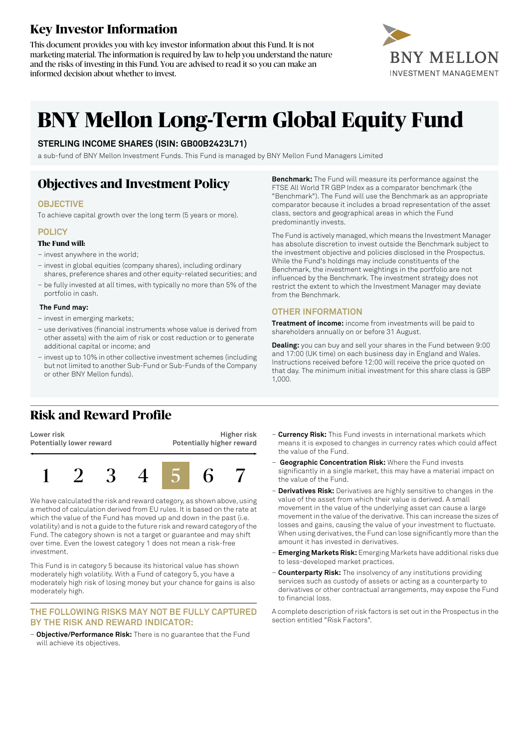# **Key Investor Information**

This document provides you with key investor information about this Fund. It is not marketing material. The information is required by law to help you understand the nature and the risks of investing in this Fund. You are advised to read it so you can make an informed decision about whether to invest.



# **BNY Mellon Long-Term Global Equity Fund**

### **STERLING INCOME SHARES (ISIN: GB00B2423L71)**

a sub-fund of BNY Mellon Investment Funds. This Fund is managed by BNY Mellon Fund Managers Limited

## **Objectives and Investment Policy**

### **OBJECTIVE**

To achieve capital growth over the long term (5 years or more).

### **POLICY**

### **The Fund will:**

- invest anywhere in the world;
- invest in global equities (company shares), including ordinary shares, preference shares and other equity-related securities; and
- be fully invested at all times, with typically no more than 5% of the portfolio in cash.

### **The Fund may:**

- invest in emerging markets;
- use derivatives (financial instruments whose value is derived from other assets) with the aim of risk or cost reduction or to generate additional capital or income; and
- invest up to 10% in other collective investment schemes (including but not limited to another Sub-Fund or Sub-Funds of the Company or other BNY Mellon funds).

**Benchmark:** The Fund will measure its performance against the FTSE All World TR GBP Index as a comparator benchmark (the "Benchmark"). The Fund will use the Benchmark as an appropriate comparator because it includes a broad representation of the asset class, sectors and geographical areas in which the Fund predominantly invests.

The Fund is actively managed, which means the Investment Manager has absolute discretion to invest outside the Benchmark subject to the investment objective and policies disclosed in the Prospectus. While the Fund's holdings may include constituents of the Benchmark, the investment weightings in the portfolio are not influenced by the Benchmark. The investment strategy does not restrict the extent to which the Investment Manager may deviate from the Benchmark.

### **OTHER INFORMATION**

**Treatment of income:** income from investments will be paid to shareholders annually on or before 31 August.

**Dealing:** you can buy and sell your shares in the Fund between 9:00 and 17:00 (UK time) on each business day in England and Wales. Instructions received before 12:00 will receive the price quoted on that day. The minimum initial investment for this share class is GBP 1,000.

### **Risk and Reward Profile**

**Lower risk Potentially lower reward**

**Higher risk Potentially higher reward**



We have calculated the risk and reward category, as shown above, using a method of calculation derived from EU rules. It is based on the rate at which the value of the Fund has moved up and down in the past (i.e. volatility) and is not a guide to the future risk and reward category ofthe Fund. The category shown is not a target or guarantee and may shift over time. Even the lowest category 1 does not mean a risk-free investment.

This Fund is in category 5 because its historical value has shown moderately high volatility. With a Fund of category 5, you have a moderately high risk of losing money but your chance for gains is also moderately high.

#### **THE FOLLOWING RISKS MAY NOT BE FULLY CAPTURED BY THE RISK AND REWARD INDICATOR:**

– **Objective/Performance Risk:** There is no guarantee that the Fund will achieve its objectives.

- **Currency Risk:** This Fund invests in international markets which means it is exposed to changes in currency rates which could affect the value of the Fund.
- **Geographic Concentration Risk:** Where the Fund invests significantly in a single market, this may have a material impact on the value of the Fund.
- **Derivatives Risk:** Derivatives are highly sensitive to changes in the value of the asset from which their value is derived. A small movement in the value of the underlying asset can cause a large movement in the value of the derivative. This can increase the sizes of losses and gains, causing the value of your investment to fluctuate. When using derivatives, the Fund can lose significantly more than the amount it has invested in derivatives.
- **Emerging Markets Risk:** Emerging Markets have additional risks due to less-developed market practices.
- **Counterparty Risk:** The insolvency of any institutions providing services such as custody of assets or acting as a counterparty to derivatives or other contractual arrangements, may expose the Fund to financial loss.

A complete description of risk factors is set out in the Prospectus in the section entitled "Risk Factors".